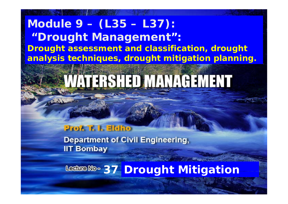#### **Module 9 – (L35 – L37): " h Droug ht Management ": Drought assessment and classification, drought**  analysis techniques, drought mitigation planning.

# **VATERSHED MANAGEMENT**

#### **Prof. T. I. Eldho**

**Department of Civil Engineering, IIT Bombay** 

**37 Drought Mitigation**

1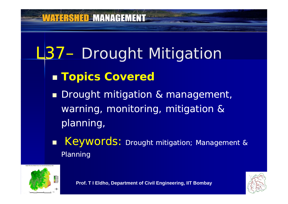#### **VATERSHED MANAGEMENT**

# L37 - Drought Mitigation

#### T **Topics Covered**

**Drought mitigation & management,** warning, monitoring, mitigation & planning,

**Keywords:** Drought mitigation; Management & Planning



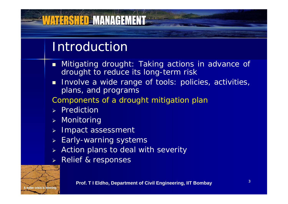## Introduction

<u> WATERSHED MANAGEMENT</u>

- $\blacksquare$  Mitigating drought: Taking actions in advance of drought to reduce its long-term risk
- r. Involve <sup>a</sup> wide range of tools: policies, activities, plans, and programs

Components of <sup>a</sup> drought mitigation plan

- $\triangleright$  Prediction
- Monitoring
- Impact assessment
- Early-warning systems
- $\triangleright$  Action plans to deal with severity
- Relief & responses

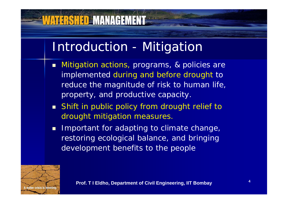## Introduction - Mitigation

- Mitigation actions, programs, & policies are implemented during and before drought to reduce the magnitude of risk to human life, property, and productive capacity.
- Shift in public policy from drought relief to drought mitigation measures.
- **I** Important for adapting to climate change, restoring ecological balance, and bringing development benefits to the people

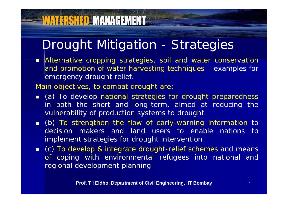## Drought Mitigation - Strategies

**Talternative cropping strategies, soil and water conservatior** and promotion of water harvesting techniques – examples for emergency drought relief.

Main objectives, to combat drought are:

- **.** (a) To develop national strategies for drought preparedness in both the short and long-term, aimed at reducing the vulnerability of production systems to drought
- **•** (b) To strengthen the flow of early-warning information to decision makers and land users to enable nations to implement strategies for drought intervention
- (c) To develop & integrate drought-relief schemes and means of coping with environmental refugees into national and regional development planning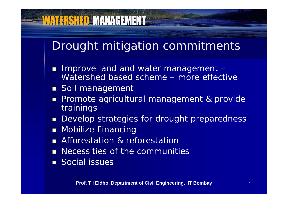#### Drought mitigation commitments

- Improve land and water management -Watershed based scheme – more effective
- **Soil management**

- $\blacksquare$ ■ Promote agricultural management & provide **trainings**
- $\blacksquare$ Develop strategies for drought preparedness
- **Mobilize Financing**
- **Afforestation & reforestation**
- **Necessities of the communities**
- **Social issues**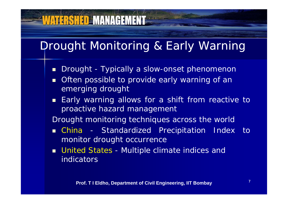# **VATERSHED MANAGEMENT**

## Drought Monitoring & Early Warning

- $\blacksquare$ Drought - Typically a slow-onset phenomenon
- T. Often possible to provide early warning of an emerging drought
- $\blacksquare$  Early warning allows for a shift from reactive to proactive hazard management

Drought monitoring techniques across the world

- China Standardized Precipitation Index to monitor drought occurrence
- **u** United States Multiple climate indices and indicators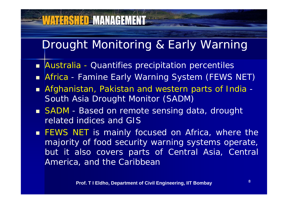## **WATERSHED MANAGEMENT**

## Drought Monitoring & Early Warning

- **Australia Quantifies precipitation percentiles**
- Africa -Famine Early Warning System (FEWS NET)
- T. Afghanistan, Pakistan and western parts of India - South Asia Drought Monitor (SADM)
- SADM Based on remote sensing data, drought related indices and GIS
- **FEWS NET is mainly focused on Africa, where the** majority of food security warning systems operate, but it also covers parts <sup>o</sup> f Central Asia, Central America, and the Caribbean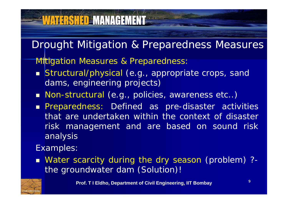# **WATERSHED MANAGEMENT**

Drought Mitigation & Preparedness Measures

**Mitigation Measures & Preparedness:** 

- **Structural/physical (e.g., appropriate crops, sand** dams, engineering projects)
- Non-structural (e.g., policies, awareness etc..)
- **Preparedness: Defined as pre-disaster activities** that are undertaken within the context of disasterrisk management and are based on sound risk analysis

Examples:

 Water scarcity during the dry season (problem) ? the groundwater dam (Solution)!

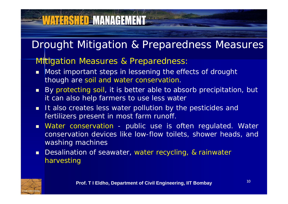# **VATERSHED MANAGEMENT=**

#### Drought Mitigation & Preparedness Measures

#### **Mitigation Measures & Preparedness:**

- **Nost important steps in lessening the effects of drought** though are soil and water conservation.
- By protecting soil, it is better able to absorb precipitation, but it can also help farmers to use less water
- **It also creates less water pollution by the pesticides and** fertilizers present in most farm runoff.
- **Nater conservation public use is often regulated. Water** conservation devices like low-flow toilets, shower heads, and washing machines
- **Desalination of seawater, water recycling, & rainwater** harvesting

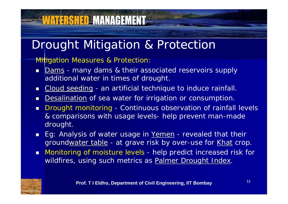# **VATERSHED MANAGEMENT**

## Drought Mitigation & Protection

#### **Mitigation Measures & Protection:**

- $\blacksquare$  Dams - many dams & their associated reservoirs supply additional water in times of drought.
- $\blacksquare$ Cloud seeding - an artificial technique to induce rainfall.
- $\blacksquare$ Desalination of sea water for irrigation or consumption.
- $\blacksquare$  Drought monitoring - Continuous observation of rainfall levels & comparisons with usage levels- help prevent man-made drought.
- **Eg: Analysis of water usage in Yemen** revealed that their groundwater table - at grave risk by over-use for Khat crop.
- $\blacksquare$  Monitoring of moisture levels - help predict increased risk for wildfires, using such metrics as **Palmer Drought Index**.

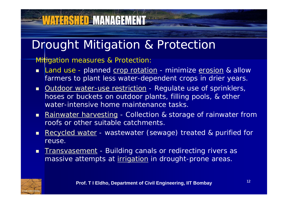# **WATERSHED MANAGEMENT**

#### Drought Mitigation & Protection

#### Mitigation measures & Protection:

- $\blacksquare$ Land use - planned crop rotation - minimize erosion & allow farmers to plant less water-dependent crops in drier years.
- **Dutdoor water-use restriction** Regulate use of sprinklers, hoses or buckets on outdoor plants, filling pools, & other water-intensive home maintenance tasks.
- **Rainwater harvesting Collection & storage of rainwater from** roofs or other suitable catchments.
- $\blacksquare$ Recycled water - wastewater (sewage) treated & purified for reuse.
- **Thans and Stephen ED in the index** of redirecting rivers as massive attempts at *irrigation* in drought-prone areas.

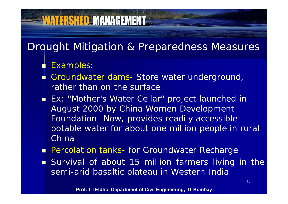#### Drought Mitigation & Preparedness Measures

П Examples:

- Groundwater dams -- Store water underground, rather than on the surface
- **Ex: "Mother's Water Cellar" project launched in** August 2000 by China Women Development Foundation -Now, provides readily accessible potable water for about one million people in rural China
- **Percolation tanks- for Groundwater Recharge**
- **Survival of about 15 million farmers living in the** semi-arid basaltic plateau in Western India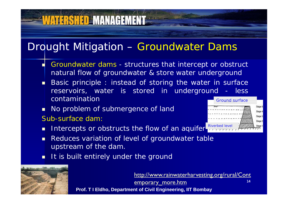#### Drought Mitigation – Groundwater Dams

- Г Groundwater dams - structures that intercept or obstruct natural flow of groundwater & store water underground
- п ■ Basic principle : instead of storing the water in surface reservoirs, water is stored in underground - less contaminationGround surface
- П No problem of submergence of land

**VATERSHED MANAGEMENT** 

- Sub-surface dam:
- Π Intercepts or obstructs the flow of an aquifer-
- П Reduces variation of level of groundwater table upstream of the dam.
- П It is built entirely under the ground



14**Prof. T I Eldho, Department of Civil Engineering, IIT Bombay** http://www.rainwaterharvesting.org/rural/Cont emporary\_more.htm

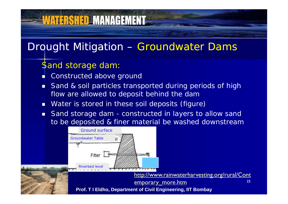## Drought Mitigation – Groundwater Dams

#### Sand storage dam:

Г **E** Constructed above ground

- Sand & soil particles transported during periods of high flow are allowed to deposit behind the dam
- **Nater is stored in these soil deposits (figure)**
- П Sand storage dam - constructed in layers to allow sand to be de posited & finer material be washed downstream

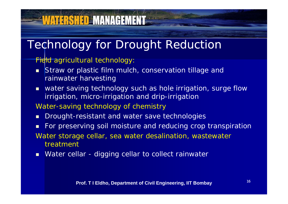# **WATERSHED MANAGEMENT**

## Technology for Drought Reduction

#### *Field agricultural technology:*

- $\blacksquare$  Straw or plastic film mulch, conservation tillage and rainwater harvesting
- $\blacksquare$  water saving technology such as hole irrigation, surge flow irrigation, micro-irrigation and drip-irrigation

#### *Water-saving technology of chemistry*

- $\blacksquare$ Drought-resistant and water save technologies
- $\blacksquare$  For preserving soil moisture and reducing crop transpiration *Water storage cellar, sea water desalination, wastewater treatment*
- **Nater cellar digging cellar to collect rainwater**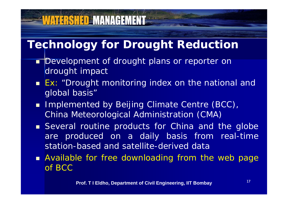# **Technology for Drought Reduction**

- Development of drought plans or reporter on drought impact
- **Ex: "Drought monitoring index on the national and** global basis"
- **I** Implemented by Beijing Climate Centre (BCC), China Meteorological Administration (CMA)
- **Several routine products for China and the globe** are produced on <sup>a</sup> daily basis from real-time station-based and satellite-derived data
- **Available for free downloading from the web page** of BCC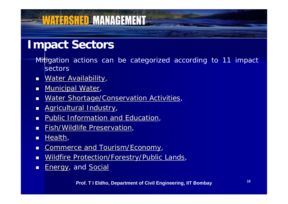#### **Impact Sectors**

- Mitigation actions can be categorized according to 11 impact **sectors**
- $\blacksquare$ Water Availability,
- $\blacksquare$ Municipal Water,
- $\blacksquare$ Water Shortage/Conservation Activities,
- $\blacksquare$ Agricultural Industry,
- $\blacksquare$ Public Information and Education,

- $\blacksquare$ **Fish/Wildlife Preservation,**
- п Health,
- П Commerce and Tourism/Economy,
- п Wildfire Protection/Forestry/Public Lands,
- П Energy, and Social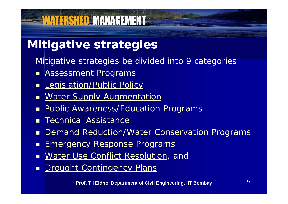#### **Mitigative strategies**

**WATERSHED MANAGEMENT** 

Mitigative strategies be divided into 9 categories:

- T. Assessment Programs
- $\blacksquare$ **Legislation/Public Policy**
- $\blacksquare$ **Water Supply Augmentation**
- П Public Awareness/Education Programs
- П Technical Assistance
- П Demand Reduction/Water Conservation Programs
- П **Emergency Response Programs**
- $\blacksquare$ **Water Use Conflict Resolution, and**
- $\blacksquare$ **Drought Contingency Plans**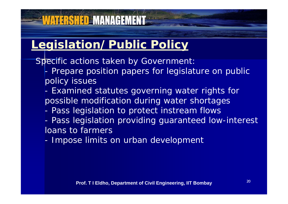#### **Legislation/Public Policy**

**WATERSHED MANAGEMENT** 

*Specific actions taken by Government:*

- - Prepare position papers for legislature on public policy issues
- - Examined statutes governing water rights for possible modification during water shortages
- -Pass legislation to protect instream flows
- - Pass legislation providing guaranteed low-interest loans to farmers
- -Impose limits on urban development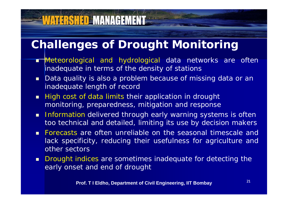#### **Challenges of Drought Monitoring**

- **Ti**Meteorological and hydrological data networks are ofter inadequate in terms of the density of stations
- Data quality is also a problem because of missing data or an inadequate length of record
- **High cost of data limits their application in drought** monitoring, preparedness, mitigation and response
- **Information delivered through early warning systems is often** too technical and detailed, limiting its use by decision makers
- **Forecasts are often unreliable on the seasonal timescale and** lack specificity, reducing their usefulness for agriculture and other sectors
- **Drought indices are sometimes inadequate for detecting the** early onset and end of drought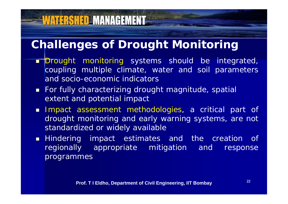## **Challenges of Drought Monitoring**

- **Drought monitoring systems should be integrated**, coupling multiple climate, water and soil parameters and socio -economic indicators
- For fully characterizing drought magnitude, spatial extent and potential impact
- Impact assessment methodologies, <sup>a</sup> critical part of drought monitoring and early warning systems, are not standardized or widely available
- Hindering impact estimates and the creation of regionally appropriate mitigation and response programmes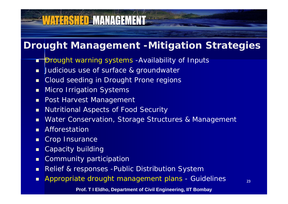# WATERSHED MANAGEMENT

#### **Drought Management -Mitigation Strategies**

- <mark>Drought warning systems -Availability of Inputs</mark>
- **Judicious use of surface & groundwater**
- $\blacksquare$ Cloud seeding in Drought Prone regions
- $\blacksquare$ Micro Irrigation Systems
- $\blacksquare$ Post Harvest Management
- $\blacksquare$ Nutritional Aspects of Food Security
- $\blacksquare$ Water Conservation, Storage Structures & Management
- Π **Afforestation**
- п Crop Insurance
- $\blacksquare$ Capacity building
- $\blacksquare$ Community participation
- $\blacksquare$ Relief & responses -Public Distribution System
- Π Appropriate drought management plans - Guidelines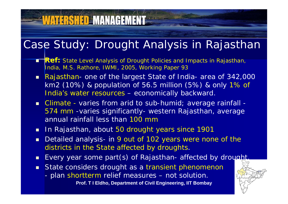#### Case Study: Drought Analysis in Rajasthan

- **Ref:** State Level Analysis of Drought Policies and Impacts in Rajasthan, India, M.S. Rathore, IWMI, 2005, Working Paper 93
- Rajasthan- one of the largest State of India- area of 342,000 km2 (10%) & population of 56.5 million (5%) & only 1% of India's water resources – economically backward.
- **E** Climate varies from arid to sub-humid; average rainfall -574 mm -varies significantly- western Rajasthan, average annual rainfall less than 100 mm
- **In Rajasthan, about 50 drought years since 1901**

**WATERSHED MANAGEMENT** 

- $\blacksquare$ Detailed analysis- in 9 out of 102 years were none of the districts in the State affected by droughts.
- Every year some part(s) of Rajasthan- affected by drought
- **State considers drought as a transient phenomenor** 
	- plan shortterm relief measures not solution.

**Prof. T I Eldho, Department of Civil Engineering, IIT Bombay**

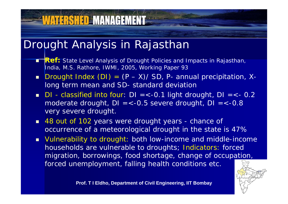#### Drought Analysis in Rajasthan

- Π **Ref:** State Level Analysis of Drought Policies and Impacts in Rajasthan, India, M.S. Rathore, IWMI, 2005, Working Paper 93
- $\blacksquare$  Drought Index (DI) = (P –- X)/ SD, P- annual precipitation, Xlong term mean and SD- standard deviation
- $\blacksquare$  DI classified into four: DI =<-0.1 light drought, DI =<- 0.2 moderate drought, DI =<-0.5 severe drought, DI =<-0.8 very severe drought.
- 48 out of 102 years were drought years chance of occurrence of a meteorological drought in the state is 47%
- Vulnerability to drought: both low-income and middle-income households are vulnerable to droughts; Indicators: forced migration, borrowings, food shortage, change of occupation, forced unemployment, falling health conditions etc.

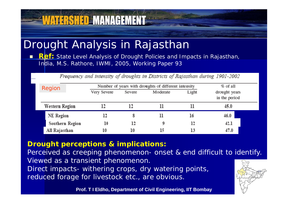#### Drought Analysis in Rajasthan

<u>WATERSHED MANAGEMENT</u>

 $\blacksquare$ **Ref:** State Level Analysis of Drought Policies and Impacts in Rajasthan, India, M.S. Rathore, IWMI, 2005, Working Paper 93

Frequency and intensity of droughts in Districts of Rajasthan during 1901-2002

| Region           | Number of years with droughts of different intensity | $%$ of all |          |       |                                |
|------------------|------------------------------------------------------|------------|----------|-------|--------------------------------|
|                  | Very Severe                                          | Severe     | Moderate | Light | drought years<br>in the period |
| Western Region   |                                                      | 12         |          | 11    | 45.0                           |
| <b>NE</b> Region | 12                                                   |            | 11       | 16    | 46.0                           |
| Southern Region  | 10                                                   | 12         | 9        | 12    | 42.1                           |
| All Rajasthan    | 10                                                   |            | 15       | 13    | 47.0                           |

#### **Drought perceptions & implications:**

Perceived as creeping phenomenon- onset & end difficult to identify. Viewed as a transient phenomenon. Direct impacts- withering crops, dry watering points, 76) reduced forage for livestock etc., are obvious.

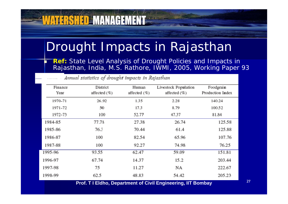## Drought Impacts in Rajasthan

 **Ref:** State Level Analysis of Drought Policies and Impacts in Rajasthan, India, M.S. Rathore, IWMI, 2005, Working Paper 93

| Finance<br>Year | District<br>affected $(\%)$ | Human<br>affected (%)                                                                                                                                                                                                                   | Livestock Population<br>affected $(\%)$ | Foodgrain<br>Production Index     |  |
|-----------------|-----------------------------|-----------------------------------------------------------------------------------------------------------------------------------------------------------------------------------------------------------------------------------------|-----------------------------------------|-----------------------------------|--|
| 1970-71         | 26.92                       | 1.35                                                                                                                                                                                                                                    | 2.28                                    | 140.24                            |  |
| 1971-72         | 50                          | 17.3                                                                                                                                                                                                                                    | 8.79                                    | 100.52                            |  |
| 1972-73         | 100                         | 52.77                                                                                                                                                                                                                                   | 47.37                                   | 81.84                             |  |
| 1984-85         | 77.78                       | 27.38                                                                                                                                                                                                                                   | 26.74                                   | 125.58                            |  |
| 1985-86         | 76.3                        | 70.44                                                                                                                                                                                                                                   | 61.4                                    | 125.88                            |  |
| 1986-87         | 100                         | 82.54                                                                                                                                                                                                                                   | 65.96                                   | 107.76                            |  |
| 1987-88         | 100                         | 92.27                                                                                                                                                                                                                                   | 74.98                                   | 76.25                             |  |
| 1995-96         | 93.55                       | 62.47                                                                                                                                                                                                                                   | 59.09                                   | 151.81                            |  |
| 1996-97         | 67.74                       | 14.37                                                                                                                                                                                                                                   | 15.2                                    | 203.44                            |  |
| 1997-98         | 75                          | 11.27                                                                                                                                                                                                                                   | NA                                      | 222.67                            |  |
| 1998-99         | 62.5<br>. <i>. .</i>        | 48.83<br>in the contract of the contract of the contract of the contract of the contract of the contract of the contract of the contract of the contract of the contract of the contract of the contract of the contract of the contrac | 54.42                                   | 205.23<br><b>THE END OF THE R</b> |  |

Annual statistics of drought impacts in Rajasthan

**VATERSHED MANAGEMENT** 

n

**Prof. T I Eldho, Department of Civil Engineering, IIT Bombay**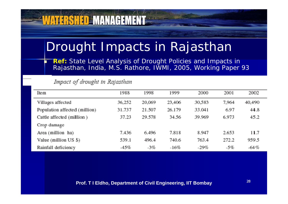## Drought Impacts in Rajasthan

 **Ref:** State Level Analysis of Drought Policies and Impacts in Rajasthan, India, M.S. Rathore, IWMI, 2005, Working Paper 93

#### Impact of drought in Rajasthan

**VATERSHED MANAGEMENT** 

n

| Ite <sub>m</sub>              | 1988   | 1998   | 1999   | 2000   | 2001  | 2002   |
|-------------------------------|--------|--------|--------|--------|-------|--------|
| Villages affected             | 36,252 | 20,069 | 23,406 | 30,583 | 7,964 | 40,490 |
| Population affected (million) | 31.737 | 21.507 | 26.179 | 33.041 | 6.97  | 44.8   |
| Cattle affected (million)     | 37.23  | 29.578 | 34.56  | 39.969 | 6.973 | 45.2   |
| Crop damage                   |        |        |        |        |       |        |
| Area (million ha)             | 7.436  | 6.496  | 7.818  | 8.947  | 2.653 | 11.7   |
| Value (million $US $$ )       | 539.1  | 496.4  | 740.6  | 763.4  | 272.2 | 959.5  |
| Rainfall deficiency           | $-45%$ | $-3%$  | $-16%$ | $-29%$ | $-5%$ | $-64%$ |

#### **Prof. T I Eldho, Department of Civil Engineering, IIT Bombay**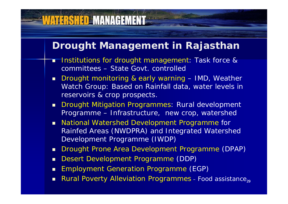#### **VATERSHED MANAGEMENT**

#### **Drought Management in Rajasthan**

- Г Institutions for drought management: Task force & committees – State Govt. controlled
- $\blacksquare$  Drought monitoring & early warning – IMD, Weather Watch Group: Based on Rainfall data, water levels in reservoirs & crop prospects.
- $\blacksquare$ **Drought Mitigation Programmes: Rural development** Programme – Infrastructure, new crop, watershed
- **National Watershed Development Programme for** Rainfed Areas (NWDPRA) and Integrated Watershed Development Programme (IWDP)
- $\blacksquare$ Drought Prone Area Development Programme (DPAP)
- $\blacksquare$ Desert Development Programme (DDP)
- $\blacksquare$ **Employment Generation Programme (EGP)**
- Rural Poverty Alleviation Programmes Food assistance,, Г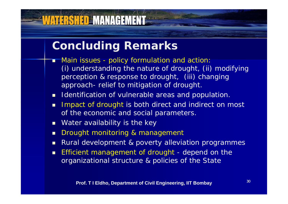#### **Concluding Remarks**

<u>WATERSHED MANAGEMENT</u>

- Г Main issues - policy formulation and action: (i) understanding the nature of drought, (ii) modifying perception & response to drought, (iii) changing approach- relief to mitigation of drought.
- **I** Identification of vulnerable areas and population
- $\blacksquare$ **I** Impact of drought is both direct and indirect on most of the economic and social parameters.
- $\blacksquare$ Water availability is the key
- $\blacksquare$ Drought monitoring & management
- $\blacksquare$ Rural development & poverty alleviation programmes
- **Efficient management of drought depend on the** organizational structure & policies of the State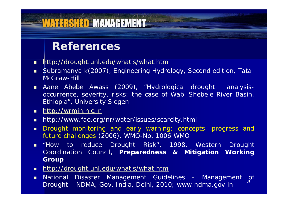#### **IATERSHED MANAGEMENT**

#### **References**

- <u>http://drought.unl.edu/whatis/what.htm</u>
- Subramanya k(2007), Engineering Hydrology, Second edition, Tata McGraw-Hill
- Aane Abebe Awass (2009), "Hydrological drought analysisoccurrence, severity, risks: the case of Wabi Shebele River Basin, Ethiopia", University Siegen.
- <u>http://wrmin.nic.ir</u>
- http://www.fao.org/nr/water/issues/scarcity.html
- *Drought monitoring and early warning: concepts, progress and future challenges* (2006), WMO-No. 1006 WMO
- "How to reduce Drought Risk'', 1998, Western Drought Coordination Council, **Preparedness & Mitigation Working Group**
- **ndttp://drought.unl.edu/whatis/what.htm**
- 31**n** National Disaster Management Guidelines – Management of Drought – NDMA, Gov. India, Delhi, 2010; www.ndma.gov.in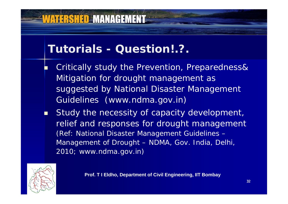## **VATERSHED MANAGEMENT**

#### **Tutorials - Question!.?.**

F. Critically study the Prevention, Preparedness& Mitigation for drought management as suggested by National Disaster Management Guidelines (www.ndma.gov.in)

. Study the necessity of capacity development, relief and responses for drought management (Ref: National Disaster Management Guidelines – Management of Drought – NDMA, Gov. India, Delhi, 2010; www.ndma.gov.in)



**Prof. T I Eldho, Department of Civil Engineering, IIT Bombay**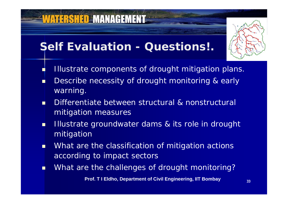#### **Self Evaluation - Questions!.**

**VATERSHED MANAGEMENT** 

F

- Illustrate components of drought mitigation plans.
- T. **Describe necessity of drought monitoring & early** warning.
- n Differentiate between structural & nonstructural mitigation measures
- п Illustrate groundwater dams & its role in drought mitigation
- $\blacksquare$  What are the classification of mitigation actions according to impact sectors
- п **•** What are the challenges of drought monitoring?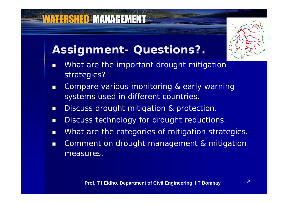# **Assignment- Questions?.**

- $\blacksquare$  What are the important drought mitigation strategies?
- $\blacksquare$  Compare various monitoring & early warning systems used in different countries.
- $\blacksquare$ Discuss drought mitigation & protection.
- $\blacksquare$ Discuss technology for drought reductions.
- $\blacksquare$ What are the categories of mitigation strategies.
- $\blacksquare$  Comment on drought management & mitigation measures.